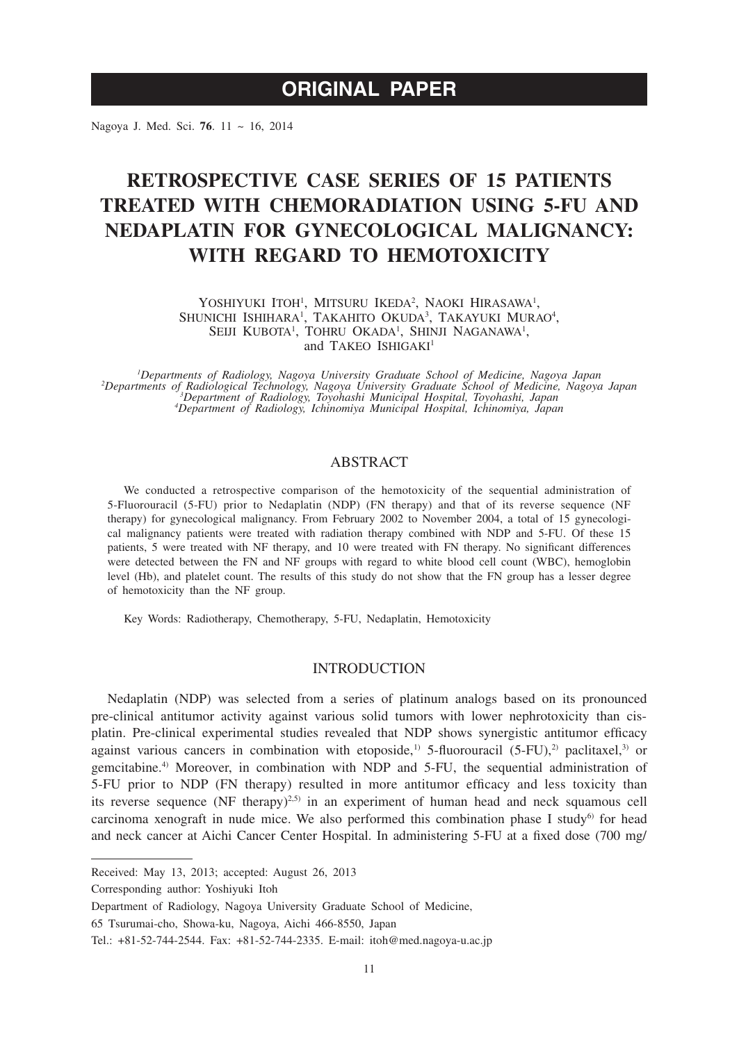# **ORIGINAL PAPER**

Nagoya J. Med. Sci. **76**. 11 ~ 16, 2014

# **RETROSPECTIVE CASE SERIES OF 15 PATIENTS TREATED WITH CHEMORADIATION USING 5-FU AND NEDAPLATIN FOR GYNECOLOGICAL MALIGNANCY: WITH REGARD TO HEMOTOXICITY**

YOSHIYUKI ITOH<sup>1</sup>, MITSURU IKEDA<sup>2</sup>, NAOKI HIRASAWA<sup>1</sup>, SHUNICHI ISHIHARA<sup>1</sup>, TAKAHITO OKUDA<sup>3</sup>, TAKAYUKI MURAO<sup>4</sup>, SEIJI KUBOTA<sup>1</sup>, TOHRU OKADA<sup>1</sup>, SHINJI NAGANAWA<sup>1</sup>, and TAKEO ISHIGAKI<sup>1</sup>

<sup>1</sup>Departments of Radiology, Nagoya University Graduate School of Medicine, Nagoya Japan <sup>1</sup>Departments of Radiology, Nagoya University Graduate School of Medicine, Nagoya Japan<br>2Departments of Radiological Technology, Nagoya University Graduate School of Medicine, Nagoya Japan<sup>2</sup><br><sup>3</sup>Department of Radiology, I

# ABSTRACT

We conducted a retrospective comparison of the hemotoxicity of the sequential administration of 5-Fluorouracil (5-FU) prior to Nedaplatin (NDP) (FN therapy) and that of its reverse sequence (NF therapy) for gynecological malignancy. From February 2002 to November 2004, a total of 15 gynecological malignancy patients were treated with radiation therapy combined with NDP and 5-FU. Of these 15 patients, 5 were treated with NF therapy, and 10 were treated with FN therapy. No significant differences were detected between the FN and NF groups with regard to white blood cell count (WBC), hemoglobin level (Hb), and platelet count. The results of this study do not show that the FN group has a lesser degree of hemotoxicity than the NF group.

Key Words: Radiotherapy, Chemotherapy, 5-FU, Nedaplatin, Hemotoxicity

## INTRODUCTION

Nedaplatin (NDP) was selected from a series of platinum analogs based on its pronounced pre-clinical antitumor activity against various solid tumors with lower nephrotoxicity than cisplatin. Pre-clinical experimental studies revealed that NDP shows synergistic antitumor efficacy against various cancers in combination with etoposide,<sup>1)</sup> 5-fluorouracil (5-FU),<sup>2)</sup> paclitaxel,<sup>3)</sup> or gemcitabine.4) Moreover, in combination with NDP and 5-FU, the sequential administration of 5-FU prior to NDP (FN therapy) resulted in more antitumor efficacy and less toxicity than its reverse sequence (NF therapy)<sup>2,5)</sup> in an experiment of human head and neck squamous cell carcinoma xenograft in nude mice. We also performed this combination phase I study $6$  for head and neck cancer at Aichi Cancer Center Hospital. In administering 5-FU at a fixed dose (700 mg/

Corresponding author: Yoshiyuki Itoh

Received: May 13, 2013; accepted: August 26, 2013

Department of Radiology, Nagoya University Graduate School of Medicine,

<sup>65</sup> Tsurumai-cho, Showa-ku, Nagoya, Aichi 466-8550, Japan

Tel.: +81-52-744-2544. Fax: +81-52-744-2335. E-mail: itoh@med.nagoya-u.ac.jp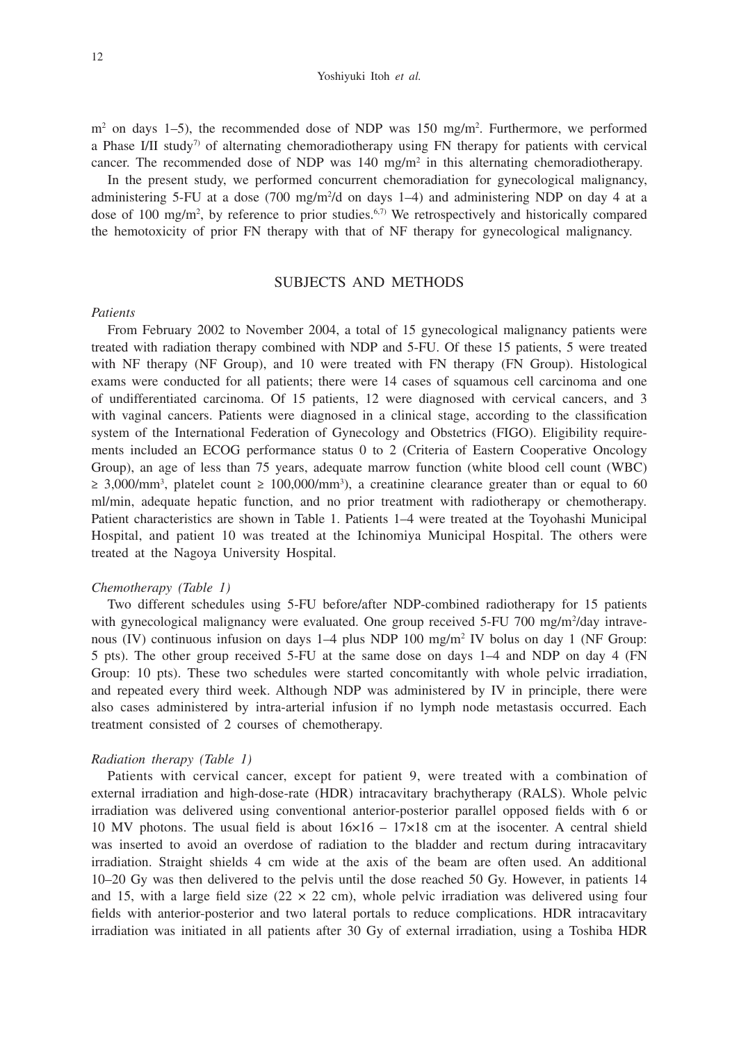m<sup>2</sup> on days 1–5), the recommended dose of NDP was 150 mg/m<sup>2</sup>. Furthermore, we performed a Phase I/II study<sup>7</sup> of alternating chemoradiotherapy using FN therapy for patients with cervical cancer. The recommended dose of NDP was  $140 \text{ mg/m}^2$  in this alternating chemoradiotherapy.

In the present study, we performed concurrent chemoradiation for gynecological malignancy, administering 5-FU at a dose (700 mg/m2 /d on days 1–4) and administering NDP on day 4 at a dose of 100 mg/m<sup>2</sup>, by reference to prior studies.<sup>6,7)</sup> We retrospectively and historically compared the hemotoxicity of prior FN therapy with that of NF therapy for gynecological malignancy.

# SUBJECTS AND METHODS

## *Patients*

From February 2002 to November 2004, a total of 15 gynecological malignancy patients were treated with radiation therapy combined with NDP and 5-FU. Of these 15 patients, 5 were treated with NF therapy (NF Group), and 10 were treated with FN therapy (FN Group). Histological exams were conducted for all patients; there were 14 cases of squamous cell carcinoma and one of undifferentiated carcinoma. Of 15 patients, 12 were diagnosed with cervical cancers, and 3 with vaginal cancers. Patients were diagnosed in a clinical stage, according to the classification system of the International Federation of Gynecology and Obstetrics (FIGO). Eligibility requirements included an ECOG performance status 0 to 2 (Criteria of Eastern Cooperative Oncology Group), an age of less than 75 years, adequate marrow function (white blood cell count (WBC)  $\geq$  3,000/mm<sup>3</sup>, platelet count  $\geq$  100,000/mm<sup>3</sup>), a creatinine clearance greater than or equal to 60 ml/min, adequate hepatic function, and no prior treatment with radiotherapy or chemotherapy. Patient characteristics are shown in Table 1. Patients 1–4 were treated at the Toyohashi Municipal Hospital, and patient 10 was treated at the Ichinomiya Municipal Hospital. The others were treated at the Nagoya University Hospital.

## *Chemotherapy (Table 1)*

Two different schedules using 5-FU before/after NDP-combined radiotherapy for 15 patients with gynecological malignancy were evaluated. One group received 5-FU 700 mg/m<sup>2</sup>/day intravenous (IV) continuous infusion on days 1–4 plus NDP 100 mg/m<sup>2</sup> IV bolus on day 1 (NF Group: 5 pts). The other group received 5-FU at the same dose on days 1–4 and NDP on day 4 (FN Group: 10 pts). These two schedules were started concomitantly with whole pelvic irradiation, and repeated every third week. Although NDP was administered by IV in principle, there were also cases administered by intra-arterial infusion if no lymph node metastasis occurred. Each treatment consisted of 2 courses of chemotherapy.

#### *Radiation therapy (Table 1)*

Patients with cervical cancer, except for patient 9, were treated with a combination of external irradiation and high-dose-rate (HDR) intracavitary brachytherapy (RALS). Whole pelvic irradiation was delivered using conventional anterior-posterior parallel opposed fields with 6 or 10 MV photons. The usual field is about  $16\times16 - 17\times18$  cm at the isocenter. A central shield was inserted to avoid an overdose of radiation to the bladder and rectum during intracavitary irradiation. Straight shields 4 cm wide at the axis of the beam are often used. An additional 10–20 Gy was then delivered to the pelvis until the dose reached 50 Gy. However, in patients 14 and 15, with a large field size ( $22 \times 22$  cm), whole pelvic irradiation was delivered using four fields with anterior-posterior and two lateral portals to reduce complications. HDR intracavitary irradiation was initiated in all patients after 30 Gy of external irradiation, using a Toshiba HDR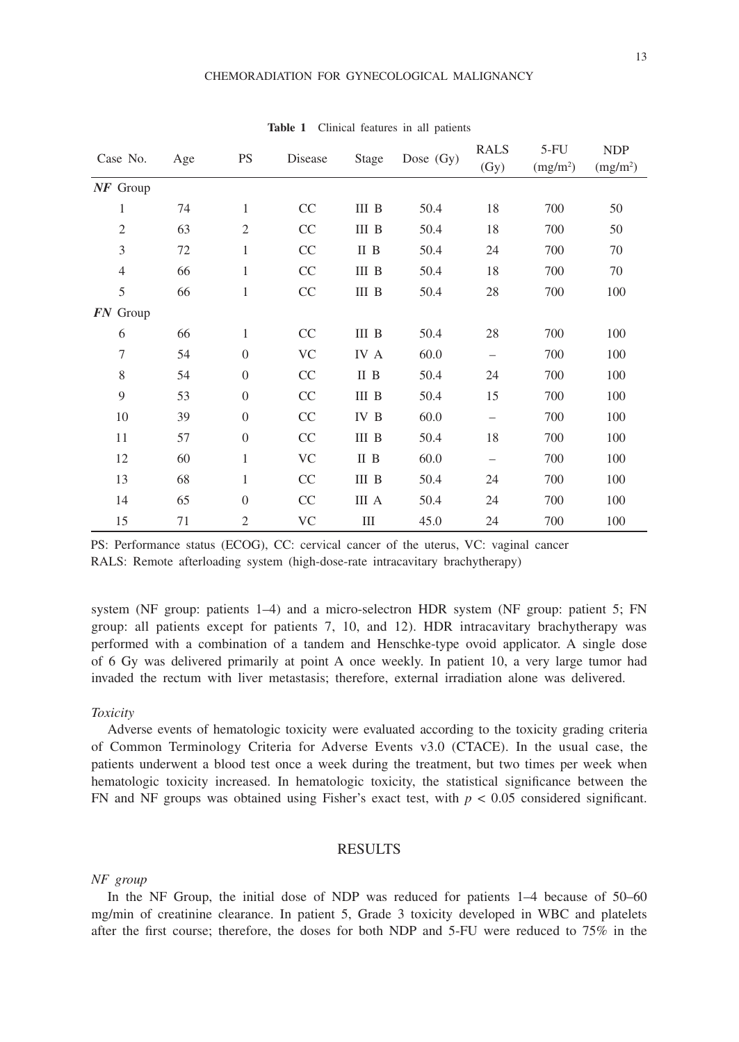| Case No.       | Age | <b>PS</b>      | Disease   | Stage | Dose $(Gy)$ | <b>RALS</b><br>(Gy)      | $5-FU$<br>(mg/m <sup>2</sup> ) | <b>NDP</b><br>(mg/m <sup>2</sup> ) |
|----------------|-----|----------------|-----------|-------|-------------|--------------------------|--------------------------------|------------------------------------|
| $NF$ Group     |     |                |           |       |             |                          |                                |                                    |
| 1              | 74  | $\mathbf{1}$   | CC        | III B | 50.4        | 18                       | 700                            | 50                                 |
| $\mathfrak{2}$ | 63  | $\overline{2}$ | CC        | III B | 50.4        | 18                       | 700                            | 50                                 |
| $\mathfrak{Z}$ | 72  | $\mathbf{1}$   | CC        | II B  | 50.4        | 24                       | 700                            | 70                                 |
| $\overline{4}$ | 66  | $\mathbf{1}$   | CC        | III B | 50.4        | 18                       | 700                            | 70                                 |
| 5              | 66  | $\mathbf{1}$   | CC        | III B | 50.4        | 28                       | 700                            | 100                                |
| $FN$ Group     |     |                |           |       |             |                          |                                |                                    |
| 6              | 66  | $\mathbf{1}$   | CC        | III B | 50.4        | 28                       | 700                            | 100                                |
| $\tau$         | 54  | $\theta$       | <b>VC</b> | IV A  | 60.0        | $\overline{\phantom{m}}$ | 700                            | 100                                |
| 8              | 54  | $\theta$       | CC        | II B  | 50.4        | 24                       | 700                            | 100                                |
| 9              | 53  | $\Omega$       | CC        | III B | 50.4        | 15                       | 700                            | 100                                |
| 10             | 39  | $\theta$       | CC        | IV B  | 60.0        | $\overline{\phantom{0}}$ | 700                            | 100                                |
| 11             | 57  | $\theta$       | CC        | III B | 50.4        | 18                       | 700                            | 100                                |
| 12             | 60  | 1              | VC        | II B  | 60.0        | $\qquad \qquad -$        | 700                            | 100                                |
| 13             | 68  | 1              | CC        | III B | 50.4        | 24                       | 700                            | 100                                |
| 14             | 65  | $\theta$       | CC        | III A | 50.4        | 24                       | 700                            | 100                                |
| 15             | 71  | $\mathfrak{2}$ | VC        | Ш     | 45.0        | 24                       | 700                            | 100                                |

**Table 1** Clinical features in all patients

PS: Performance status (ECOG), CC: cervical cancer of the uterus, VC: vaginal cancer RALS: Remote afterloading system (high-dose-rate intracavitary brachytherapy)

system (NF group: patients 1–4) and a micro-selectron HDR system (NF group: patient 5; FN group: all patients except for patients 7, 10, and 12). HDR intracavitary brachytherapy was performed with a combination of a tandem and Henschke-type ovoid applicator. A single dose of 6 Gy was delivered primarily at point A once weekly. In patient 10, a very large tumor had invaded the rectum with liver metastasis; therefore, external irradiation alone was delivered.

# *Toxicity*

Adverse events of hematologic toxicity were evaluated according to the toxicity grading criteria of Common Terminology Criteria for Adverse Events v3.0 (CTACE). In the usual case, the patients underwent a blood test once a week during the treatment, but two times per week when hematologic toxicity increased. In hematologic toxicity, the statistical significance between the FN and NF groups was obtained using Fisher's exact test, with  $p < 0.05$  considered significant.

# RESULTS

## *NF group*

In the NF Group, the initial dose of NDP was reduced for patients 1–4 because of 50–60 mg/min of creatinine clearance. In patient 5, Grade 3 toxicity developed in WBC and platelets after the first course; therefore, the doses for both NDP and 5-FU were reduced to 75% in the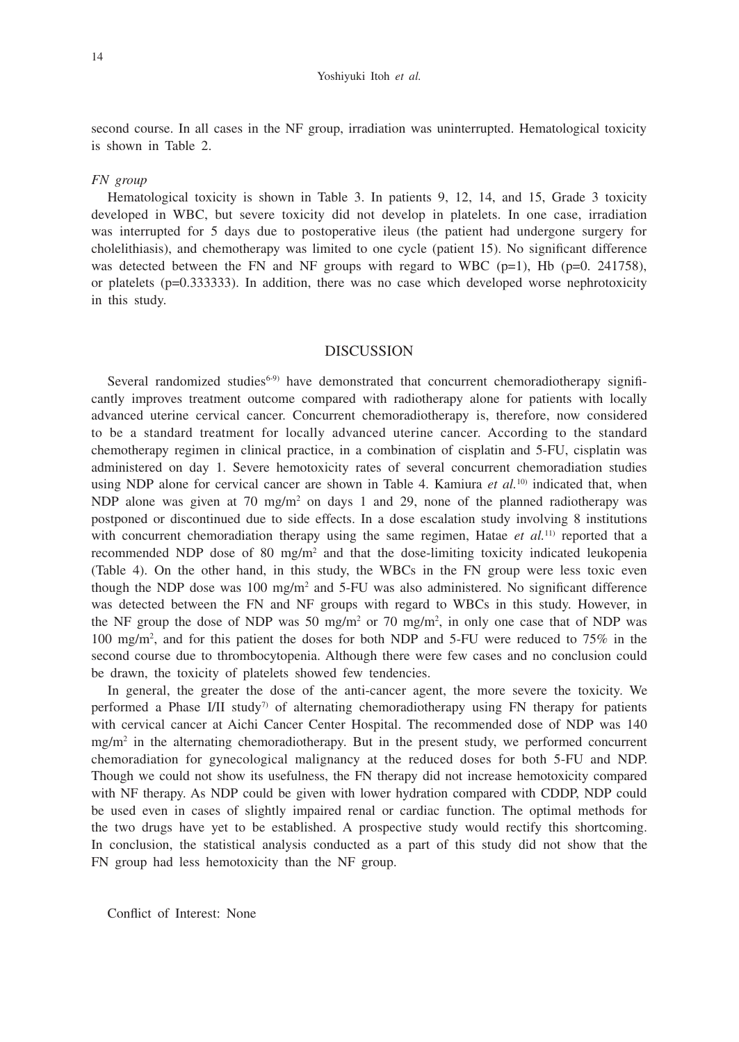#### Yoshiyuki Itoh *et al.*

second course. In all cases in the NF group, irradiation was uninterrupted. Hematological toxicity is shown in Table 2.

## *FN group*

Hematological toxicity is shown in Table 3. In patients 9, 12, 14, and 15, Grade 3 toxicity developed in WBC, but severe toxicity did not develop in platelets. In one case, irradiation was interrupted for 5 days due to postoperative ileus (the patient had undergone surgery for cholelithiasis), and chemotherapy was limited to one cycle (patient 15). No significant difference was detected between the FN and NF groups with regard to WBC ( $p=1$ ), Hb ( $p=0$ . 241758), or platelets ( $p=0.333333$ ). In addition, there was no case which developed worse nephrotoxicity in this study.

#### DISCUSSION

Several randomized studies $6-9$ ) have demonstrated that concurrent chemoradiotherapy significantly improves treatment outcome compared with radiotherapy alone for patients with locally advanced uterine cervical cancer. Concurrent chemoradiotherapy is, therefore, now considered to be a standard treatment for locally advanced uterine cancer. According to the standard chemotherapy regimen in clinical practice, in a combination of cisplatin and 5-FU, cisplatin was administered on day 1. Severe hemotoxicity rates of several concurrent chemoradiation studies using NDP alone for cervical cancer are shown in Table 4. Kamiura *et al.*<sup>10)</sup> indicated that, when NDP alone was given at 70 mg/m<sup>2</sup> on days 1 and 29, none of the planned radiotherapy was postponed or discontinued due to side effects. In a dose escalation study involving 8 institutions with concurrent chemoradiation therapy using the same regimen, Hatae  $et al.<sup>11</sup>$  reported that a recommended NDP dose of 80 mg/m<sup>2</sup> and that the dose-limiting toxicity indicated leukopenia (Table 4). On the other hand, in this study, the WBCs in the FN group were less toxic even though the NDP dose was  $100 \text{ mg/m}^2$  and 5-FU was also administered. No significant difference was detected between the FN and NF groups with regard to WBCs in this study. However, in the NF group the dose of NDP was 50 mg/m<sup>2</sup> or 70 mg/m<sup>2</sup>, in only one case that of NDP was 100 mg/m2 , and for this patient the doses for both NDP and 5-FU were reduced to 75% in the second course due to thrombocytopenia. Although there were few cases and no conclusion could be drawn, the toxicity of platelets showed few tendencies.

In general, the greater the dose of the anti-cancer agent, the more severe the toxicity. We performed a Phase I/II study<sup>7</sup> of alternating chemoradiotherapy using FN therapy for patients with cervical cancer at Aichi Cancer Center Hospital. The recommended dose of NDP was 140 mg/m<sup>2</sup> in the alternating chemoradiotherapy. But in the present study, we performed concurrent chemoradiation for gynecological malignancy at the reduced doses for both 5-FU and NDP. Though we could not show its usefulness, the FN therapy did not increase hemotoxicity compared with NF therapy. As NDP could be given with lower hydration compared with CDDP, NDP could be used even in cases of slightly impaired renal or cardiac function. The optimal methods for the two drugs have yet to be established. A prospective study would rectify this shortcoming. In conclusion, the statistical analysis conducted as a part of this study did not show that the FN group had less hemotoxicity than the NF group.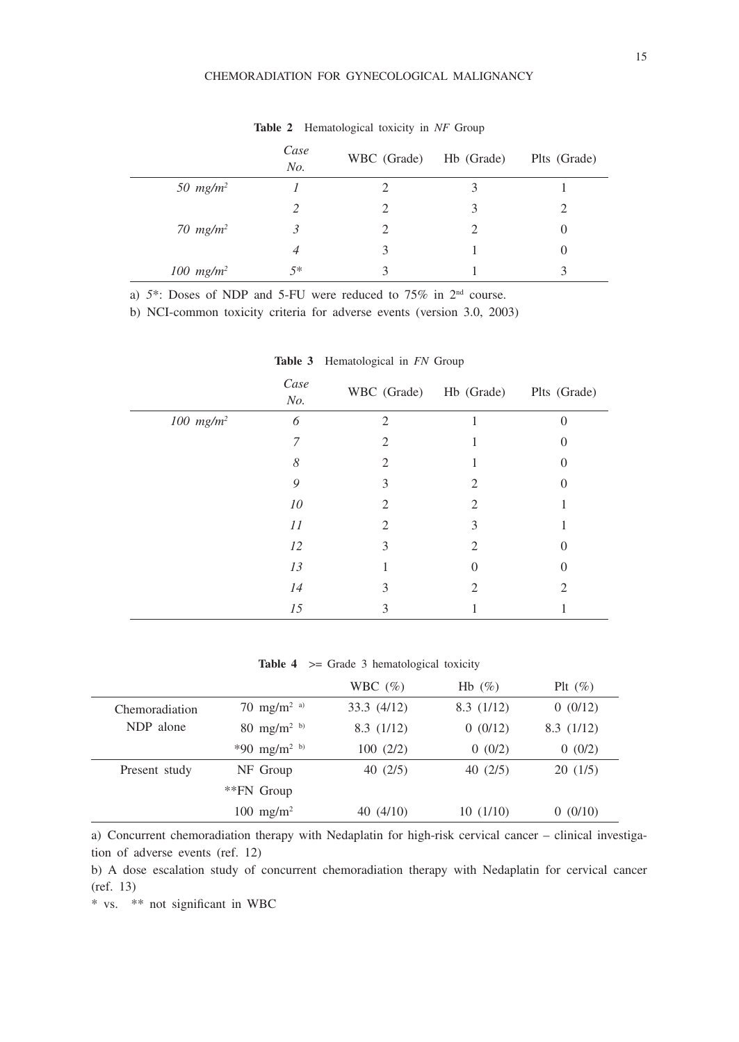## CHEMORADIATION FOR GYNECOLOGICAL MALIGNANCY

|              | Case<br>No. | WBC (Grade) | Hb (Grade) | Plts (Grade) |
|--------------|-------------|-------------|------------|--------------|
| 50 $mg/m^2$  |             |             |            |              |
|              |             |             |            |              |
| 70 $mg/m^2$  |             |             |            | U            |
|              | 4           | 3           |            | O            |
| 100 $mg/m^2$ | $5*$        |             |            |              |

**Table 2** Hematological toxicity in *NF* Group

a)  $5^*$ : Doses of NDP and 5-FU were reduced to 75% in 2<sup>nd</sup> course.

b) NCI-common toxicity criteria for adverse events (version 3.0, 2003)

|                         | Case<br>No. | WBC (Grade) Hb (Grade) Plts (Grade) |                             |   |
|-------------------------|-------------|-------------------------------------|-----------------------------|---|
| $100$ mg/m <sup>2</sup> | 6           | $\mathfrak{D}$                      |                             | 0 |
|                         | 7           | $\mathfrak{D}_{\mathfrak{p}}$       |                             |   |
|                         | 8           | $\mathcal{D}_{\mathcal{L}}$         |                             |   |
|                         | 9           | 3                                   | 2                           | O |
|                         | 10          | 2.                                  | 2                           |   |
|                         | 11          | $\mathcal{D}_{\mathcal{L}}$         | 3                           |   |
|                         | 12          | 3                                   | $\mathcal{D}_{\mathcal{L}}$ | 0 |
|                         | 13          |                                     |                             |   |
|                         | 14          | 3                                   | 2                           | 2 |
|                         | 15          | 3                                   |                             |   |

**Table 3** Hematological in *FN* Group

Table 4  $>$  Grade 3 hematological toxicity

|                |                          | WBC $(\% )$ | Hb $(\%)$ | Plt $(\%)$ |
|----------------|--------------------------|-------------|-----------|------------|
| Chemoradiation | 70 mg/m <sup>2 a)</sup>  | 33.3(4/12)  | 8.3(1/12) | 0(0/12)    |
| NDP alone      | 80 mg/m <sup>2 b)</sup>  | 8.3(1/12)   | 0(0/12)   | 8.3(1/12)  |
|                | *90 mg/m <sup>2 b)</sup> | 100(2/2)    | 0(0/2)    | 0(0/2)     |
| Present study  | NF Group                 | 40(2/5)     | 40(2/5)   | 20(1/5)    |
|                | **FN Group               |             |           |            |
|                | $100 \text{ mg/m}^2$     | 40(4/10)    | 10(1/10)  | 0(0/10)    |

a) Concurrent chemoradiation therapy with Nedaplatin for high-risk cervical cancer – clinical investigation of adverse events (ref. 12)

b) A dose escalation study of concurrent chemoradiation therapy with Nedaplatin for cervical cancer (ref. 13)

\* vs. \*\* not significant in WBC